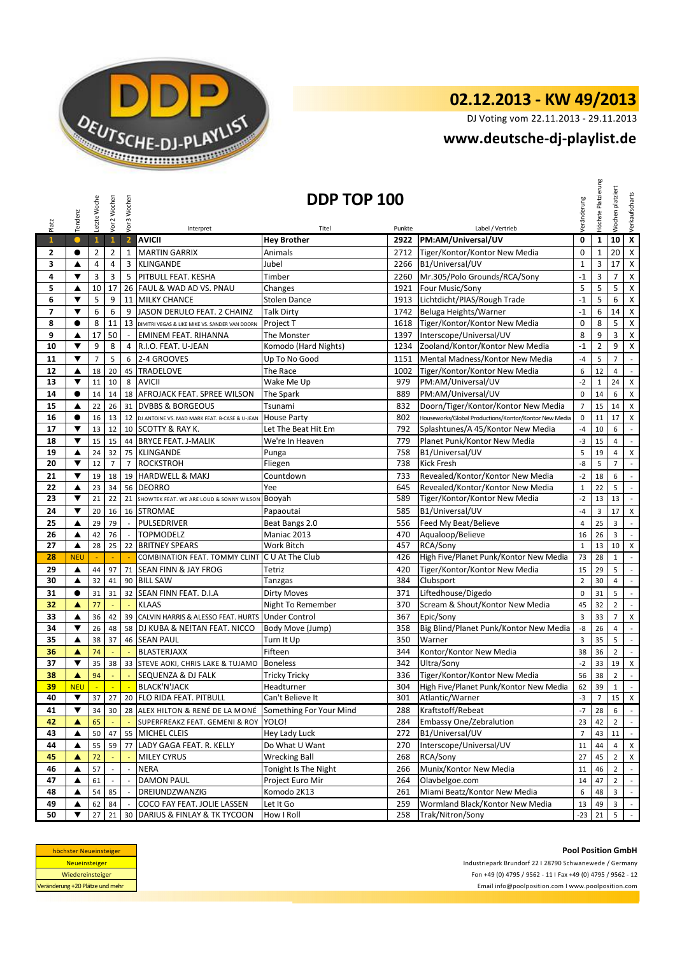

## **02.12.2013 - KW 49/2013**

DJ Voting vom 22.11.2013 - 29.11.2013

## **<www.deutsche-dj-playlist.de>**

| Platz                    | Tendenz              | Letzte Woche   | Vor 2 Wochen               | Vor 3 Wochen               | Interpret                                        | DDP TOP 100<br>Titel    | Punkte | Label / Vertrieb                                      | Veränderung    | Höchste Platzierung | platziert<br>Wochen | Verkaufscharts              |
|--------------------------|----------------------|----------------|----------------------------|----------------------------|--------------------------------------------------|-------------------------|--------|-------------------------------------------------------|----------------|---------------------|---------------------|-----------------------------|
| $\mathbf{1}$             | $\bullet$            | $\mathbf{1}$   | $\mathbf{1}$               | $\overline{2}$             | <b>AVICII</b>                                    | <b>Hey Brother</b>      | 2922   | PM:AM/Universal/UV                                    | 0              | $\mathbf 1$         | 10                  | $\overline{\mathbf{x}}$     |
| 2                        | $\bullet$            | $\overline{2}$ | $\overline{2}$             | $\mathbf{1}$               | <b>MARTIN GARRIX</b>                             | Animals                 | 2712   | Tiger/Kontor/Kontor New Media                         | $\mathbf 0$    | $\mathbf{1}$        | 20                  | $\pmb{\mathsf{X}}$          |
| 3                        | ▲                    | 4              | $\overline{4}$             | 3                          | <b>KLINGANDE</b>                                 | Jubel                   | 2266   | B1/Universal/UV                                       | $\mathbf 1$    | 3                   | 17                  | $\mathsf X$                 |
| 4                        | ▼                    | 3              | 3                          | 5                          | PITBULL FEAT. KESHA                              | Timber                  | 2260   | Mr.305/Polo Grounds/RCA/Sony                          | $-1$           | 3                   | $\overline{7}$      | $\mathsf X$                 |
| 5                        | ▲                    | 10             | 17                         |                            | 26 FAUL & WAD AD VS. PNAU                        | Changes                 | 1921   | Four Music/Sony                                       | 5              | 5                   | 5                   | $\mathsf X$                 |
| 6                        | ▼                    | 5              | 9                          |                            | 11 MILKY CHANCE                                  | <b>Stolen Dance</b>     | 1913   | Lichtdicht/PIAS/Rough Trade                           | $-1$           | 5                   | 6                   | $\pmb{\mathsf{X}}$          |
| $\overline{\phantom{a}}$ | ▼                    | 6              | 6                          | 9                          | JASON DERULO FEAT. 2 CHAINZ                      | <b>Talk Dirty</b>       |        | 1742 Beluga Heights/Warner                            | $-1$           | 6                   | 14                  | $\mathsf X$                 |
| 8                        | $\bullet$            | 8              | 11                         | 13                         | DIMITRI VEGAS & LIKE MIKE VS. SANDER VAN DOORN   | Project T               |        | 1618 Tiger/Kontor/Kontor New Media                    | $\mathbf 0$    | 8                   | 5                   | $\pmb{\mathsf{X}}$          |
| 9                        | ▲                    | 17             | 50                         | $\omega$                   | <b>EMINEM FEAT. RIHANNA</b>                      | The Monster             | 1397   | Interscope/Universal/UV                               | 8              | 9                   | 3                   | $\pmb{\times}$              |
| 10                       | ▼                    | 9              | 8                          | $\overline{4}$             | R.I.O. FEAT. U-JEAN                              | Komodo (Hard Nights)    | 1234   | Zooland/Kontor/Kontor New Media                       | $-1$           | $\overline{2}$      | 9                   | $\pmb{\mathsf{X}}$          |
| 11                       | $\blacktriangledown$ | $\overline{7}$ | 5                          | 6                          | 2-4 GROOVES                                      | Up To No Good           | 1151   | Mental Madness/Kontor New Media                       | $-4$           | 5                   | $\overline{7}$      | $\mathcal{L}_{\mathcal{A}}$ |
| 12                       | ▲                    | 18             | 20                         | 45                         | <b>TRADELOVE</b>                                 | The Race                | 1002   | Tiger/Kontor/Kontor New Media                         | 6              | 12                  | 4                   | $\mathbb{Z}^2$              |
| 13                       | ▼                    | 11             | 10                         | 8                          | <b>AVICII</b>                                    | Wake Me Up              | 979    | PM:AM/Universal/UV                                    | $-2$           | $1\,$               | 24                  | X                           |
| 14                       | $\bullet$            | 14             | 14                         |                            | 18 AFROJACK FEAT. SPREE WILSON                   | The Spark               | 889    | PM:AM/Universal/UV                                    | $\mathbf 0$    | 14                  | 6                   | X                           |
| 15                       | ▲                    | 22             | 26                         | 31                         | <b>DVBBS &amp; BORGEOUS</b>                      | Tsunami                 | 832    | Doorn/Tiger/Kontor/Kontor New Media                   | $\overline{7}$ | 15                  | 14                  | $\pmb{\times}$              |
| 16                       | $\bullet$            | 16             | 13                         |                            | 12 DJ ANTOINE VS. MAD MARK FEAT. B-CASE & U-JEAN | <b>House Party</b>      | 802    | Houseworks/Global Productions/Kontor/Kontor New Media | $\mathbf 0$    | 11                  | 17                  | $\mathsf X$                 |
| 17                       | $\blacktriangledown$ | 13             | 12                         | 10                         | SCOTTY & RAY K.                                  | Let The Beat Hit Em     | 792    | Splashtunes/A 45/Kontor New Media                     | $-4$           | 10                  | 6                   | $\overline{\phantom{a}}$    |
| 18                       | ▼                    | 15             | 15                         |                            | 44 BRYCE FEAT. J-MALIK                           | We're In Heaven         | 779    | Planet Punk/Kontor New Media                          | $-3$           | 15                  | 4                   | $\sim$                      |
| 19                       | ▲                    | 24             | 32                         | 75                         | <b>KLINGANDE</b>                                 | Punga                   | 758    | B1/Universal/UV                                       | 5              | 19                  | 4                   | $\pmb{\mathsf{X}}$          |
| 20                       | ▼                    | 12             | $\overline{7}$             | $\overline{7}$             | <b>ROCKSTROH</b>                                 | Fliegen                 | 738    | <b>Kick Fresh</b>                                     | -8             | 5                   | $\overline{7}$      | $\mathcal{L}_{\mathcal{A}}$ |
| 21                       | ▼                    | 19             | 18                         |                            | 19 HARDWELL & MAKJ                               | Countdown               | 733    | Revealed/Kontor/Kontor New Media                      | $-2$           | 18                  | 6                   | $\mathbb{Z}^2$              |
| 22                       | ▲                    | 23             | 34                         |                            | 56 DEORRO                                        | Yee                     | 645    | Revealed/Kontor/Kontor New Media                      | $\mathbf 1$    | 22                  | 5                   | $\sim$                      |
| 23                       | ▼                    | 21             | 22                         | 21                         | SHOWTEK FEAT. WE ARE LOUD & SONNY WILSON         | Booyah                  | 589    | Tiger/Kontor/Kontor New Media                         | $-2$           | 13                  | 13                  | $\mathbb{Z}^+$              |
| 24                       | $\blacktriangledown$ | 20             | 16                         |                            | 16 STROMAE                                       | Papaoutai               | 585    | B1/Universal/UV                                       | $-4$           | 3                   | 17                  | $\pmb{\mathsf{X}}$          |
| 25                       | ▲                    | 29             | 79                         | $\sim$                     | PULSEDRIVER                                      | Beat Bangs 2.0          | 556    | Feed My Beat/Believe                                  | $\overline{a}$ | 25                  | 3                   | $\sim$                      |
| 26                       | ▲                    | 42             | 76                         |                            | <b>TOPMODELZ</b>                                 | Maniac 2013             | 470    | Aqualoop/Believe                                      | 16             | 26                  | 3                   | $\overline{\phantom{a}}$    |
| 27                       | ▲                    | 28             | 25                         | 22                         | <b>BRITNEY SPEARS</b>                            | Work Bitch              | 457    | RCA/Sony                                              | $\mathbf{1}$   | 13                  | 10                  | X                           |
| 28                       | <b>NEU</b>           |                |                            |                            | COMBINATION FEAT. TOMMY CLINT                    | C U At The Club         | 426    | High Five/Planet Punk/Kontor New Media                | 73             | 28                  | $\mathbf{1}$        | $\sim$                      |
| 29                       | ▲                    | 44             | 97                         | 71                         | <b>SEAN FINN &amp; JAY FROG</b>                  | Tetriz                  | 420    | Tiger/Kontor/Kontor New Media                         | 15             | 29                  | 5                   | $\sim$                      |
| 30                       | ▲                    | 32             | 41                         |                            | 90 BILL SAW                                      | Tanzgas                 | 384    | Clubsport                                             | $\overline{2}$ | 30                  | 4                   | $\mathbb{Z}^2$              |
| 31                       | $\bullet$            | 31             | 31                         | 32                         | SEAN FINN FEAT. D.I.A                            | <b>Dirty Moves</b>      | 371    | Liftedhouse/Digedo                                    | $\mathbf 0$    | 31                  | 5                   | $\mathcal{L}_{\mathcal{L}}$ |
| 32                       | ▲                    | 77             |                            |                            | <b>KLAAS</b>                                     | Night To Remember       | 370    | Scream & Shout/Kontor New Media                       | 45             | 32                  | $\overline{2}$      | $\mathbb{Z}^2$              |
| 33                       | ▲                    | 36             | 42                         |                            | 39 CALVIN HARRIS & ALESSO FEAT. HURTS            | <b>Under Control</b>    | 367    | Epic/Sony                                             | $\overline{3}$ | 33                  | $\overline{7}$      | $\pmb{\mathsf{X}}$          |
| 34                       | ▼                    | 26             | 48                         |                            | 58 DJ KUBA & NE!TAN FEAT. NICCO                  | Body Move (Jump)        | 358    | Big Blind/Planet Punk/Kontor New Media                | -8             | 26                  | $\overline{4}$      | $\sim$                      |
| 35                       | ▲                    | 38             | 37                         |                            | 46 SEAN PAUL                                     | Turn It Up              | 350    | Warner                                                | $\overline{3}$ | 35                  | 5                   | $\blacksquare$              |
| 36                       | A                    | 74             | $\sim$                     | $\mathbb{Z}$               | <b>BLASTERJAXX</b>                               | Fifteen                 | 344    | Kontor/Kontor New Media                               | 38             | 36                  | $\overline{2}$      | $\sim$                      |
| 37                       | ▼                    | 35             | 38                         |                            | 33 STEVE AOKI, CHRIS LAKE & TUJAMO               | <b>Boneless</b>         | 342    | Ultra/Sony                                            | $-2$           | 33                  | 19                  | $\pmb{\mathsf{X}}$          |
| 38                       | A                    | 94             |                            |                            | SEQUENZA & DJ FALK                               | <b>Tricky Tricky</b>    | 336    | Tiger/Kontor/Kontor New Media                         | 56             | 38                  | $\overline{2}$      | $\mathcal{L}_{\mathcal{A}}$ |
| <u>39</u>                | <b>NEU</b>           | $\sim$         | $\mathcal{L}_{\mathbf{r}}$ | $\mathcal{L}_{\mathbf{r}}$ | BLACK'N'JACK                                     | Headturner              | 304    | High Five/Planet Punk/Kontor New Media                | 62             | 39                  | 1                   | $\overline{\phantom{a}}$    |
| 40                       | ▼                    | 37             | 27                         |                            | 20 FLO RIDA FEAT. PITBULL                        | Can't Believe It        | 301    | Atlantic/Warner                                       | $-3$           | $\overline{7}$      | 15                  | $\mathsf X$                 |
| 41                       | ▼                    | 34             | 30                         |                            | 28 ALEX HILTON & RENÉ DE LA MONÉ                 | Something For Your Mind | 288    | Kraftstoff/Rebeat                                     | $-7$           | 28                  | 6                   | $\sim$                      |
| 42                       | ▲                    | 65             |                            |                            | SUPERFREAKZ FEAT. GEMENI & ROY                   | YOLO!                   | 284    | <b>Embassy One/Zebralution</b>                        | 23             | 42                  | $\overline{2}$      | $\sim$                      |
| 43                       | ▲                    | 50             | 47                         | 55                         | MICHEL CLEIS                                     | Hey Lady Luck           | 272    | B1/Universal/UV                                       | $\overline{7}$ | 43                  | 11                  | $\sim$                      |
| 44                       | ▲                    | 55             | 59                         |                            | 77 LADY GAGA FEAT. R. KELLY                      | Do What U Want          | 270    | Interscope/Universal/UV                               | 11             | 44                  | 4                   | $\mathsf{X}$                |
| 45                       | ▲                    | 72             |                            |                            | <b>MILEY CYRUS</b>                               | <b>Wrecking Ball</b>    | 268    | RCA/Sony                                              | 27             | 45                  | $\overline{2}$      | $\times$                    |
| 46                       | ▲                    | 57             |                            |                            | <b>NERA</b>                                      | Tonight Is The Night    | 266    | Munix/Kontor New Media                                | 11             | 46                  | $\overline{2}$      | $\sim$                      |
| 47                       | ▲                    | 61             |                            |                            | <b>DAMON PAUL</b>                                | Project Euro Mir        | 264    | Olavbelgoe.com                                        | 14             | 47                  | $\overline{2}$      | $\sim$                      |
| 48                       | ▲                    | 54             | 85                         |                            | DREIUNDZWANZIG                                   | Komodo 2K13             | 261    | Miami Beatz/Kontor New Media                          | 6              | 48                  | 3                   | $\mathbb{Z}^2$              |
| 49                       | ▲                    | 62             | 84                         |                            | COCO FAY FEAT. JOLIE LASSEN                      | Let It Go               | 259    | Wormland Black/Kontor New Media                       | 13             | 49                  | 3                   | $\sim$                      |
| 50                       | ▼                    | 27             | 21                         |                            | 30 DARIUS & FINLAY & TK TYCOON                   | How I Roll              | 258    | Trak/Nitron/Sony                                      | $-23$          | 21                  | 5 <sub>1</sub>      | $\sim$                      |

| höchster Neueinsteiger          |
|---------------------------------|
| <b>Neueinsteiger</b>            |
| Wiedereinsteiger                |
| Veränderung +20 Plätze und mehr |

Fon +49 (0) 4795 / 9562 - 11 I Fax +49 (0) 4795 / 9562 - 12 <Email info@poolposition.com I www.poolposition.com> **Pool Position GmbH** Industriepark Brundorf 22 I 28790 Schwanewede / Germany